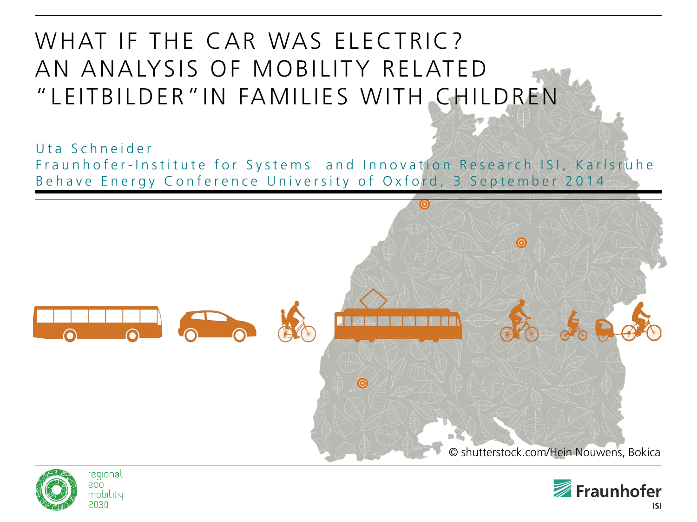#### WHAT IF THE CAR WAS ELECTRIC? AN ANALYSIS OF MOBILITY RELATED "LEITBILDER"IN FAMILIES WITH CHILDREN

Uta Schneider Fraunhofer-Institute for Systems and Innovation Research ISI, Karlsruhe Behave Energy Conference University of Oxford, 3 September 2014





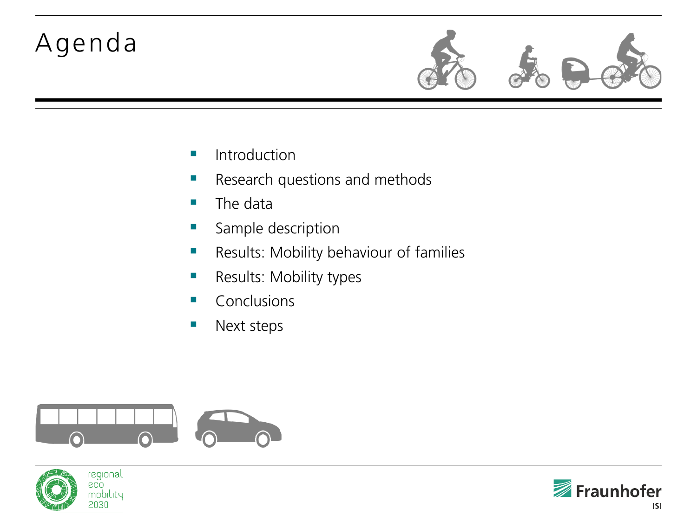### Agenda



- **Introduction**
- **Research questions and methods**
- $\blacksquare$  The data
- Sample description
- **Results: Mobility behaviour of families**
- **Results: Mobility types**
- **Conclusions**
- **Next steps**





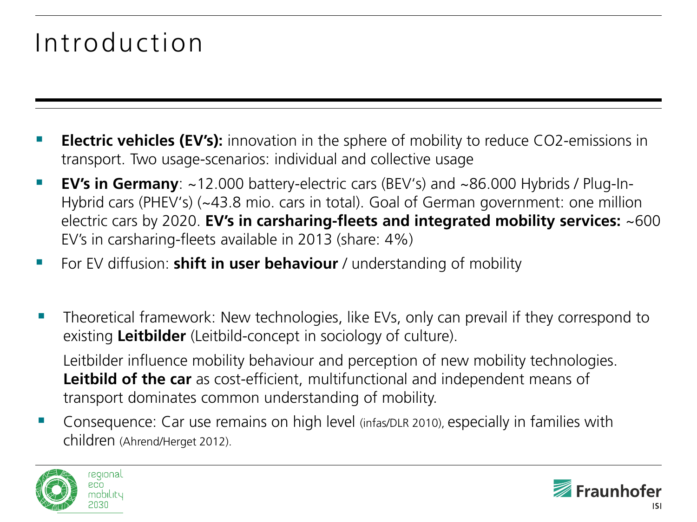### Introduction

- **Electric vehicles (EV's):** innovation in the sphere of mobility to reduce CO2-emissions in transport. Two usage-scenarios: individual and collective usage
- **EV's in Germany**: ~12.000 battery-electric cars (BEV's) and ~86.000 Hybrids / Plug-In-Hybrid cars (PHEV's) (~43.8 mio. cars in total). Goal of German government: one million electric cars by 2020. **EV's in carsharing-fleets and integrated mobility services:** ~600 EV's in carsharing-fleets available in 2013 (share: 4%)
- For EV diffusion: **shift in user behaviour** / understanding of mobility
- Theoretical framework: New technologies, like EVs, only can prevail if they correspond to existing **Leitbilder** (Leitbild-concept in sociology of culture).

Leitbilder influence mobility behaviour and perception of new mobility technologies. **Leitbild of the car** as cost-efficient, multifunctional and independent means of transport dominates common understanding of mobility.

 Consequence: Car use remains on high level (infas/DLR 2010), especially in families with children (Ahrend/Herget 2012).



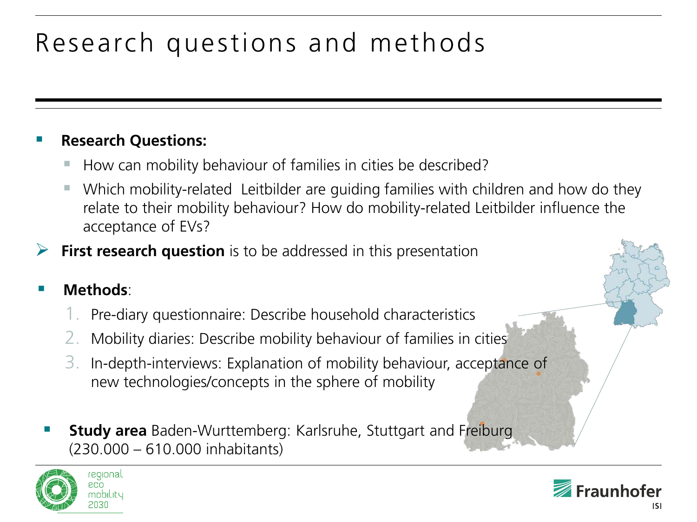# Research questions and methods

#### **Research Questions:**

- How can mobility behaviour of families in cities be described?
- Which mobility-related Leitbilder are guiding families with children and how do they relate to their mobility behaviour? How do mobility-related Leitbilder influence the acceptance of EVs?
- **First research question** is to be addressed in this presentation

#### **Methods**:

- 1. Pre-diary questionnaire: Describe household characteristics
- 2. Mobility diaries: Describe mobility behaviour of families in cities
- 3. In-depth-interviews: Explanation of mobility behaviour, acceptance of new technologies/concepts in the sphere of mobility
- **Study area** Baden-Wurttemberg: Karlsruhe, Stuttgart and Freiburg (230.000 – 610.000 inhabitants)



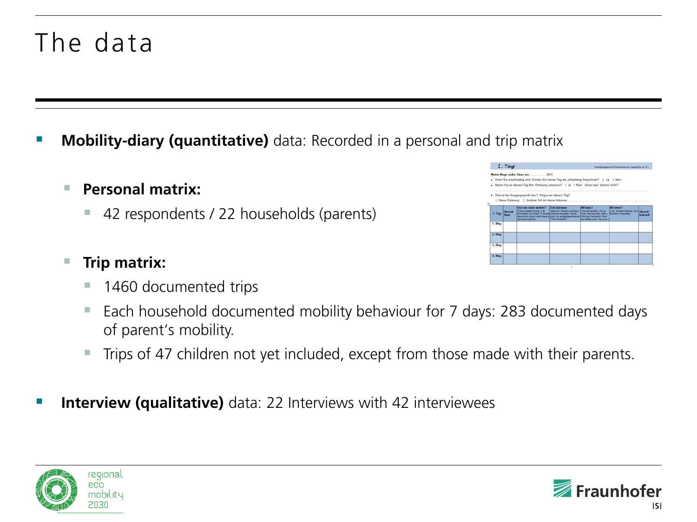### The data

**Mobility-diary (quantitative)** data: Recorded in a personal and trip matrix

#### **Personal matrix:**

■ 42 respondents / 22 households (parents)

#### **Trip matrix:**

- 1460 documented trips
- Each household documented mobility behaviour for 7 days: 283 documented days of parent's mobility.
- Trips of 47 children not yet included, except from those made with their parents.
- **Interview (qualitative)** data: 22 Interviews with 42 interviewees





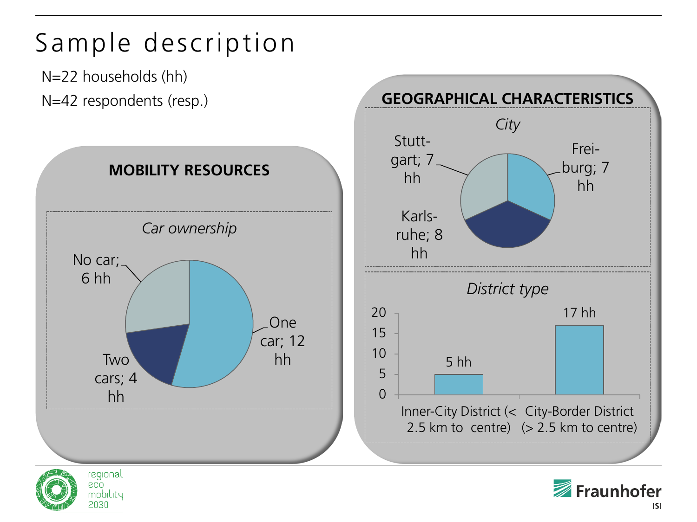

2030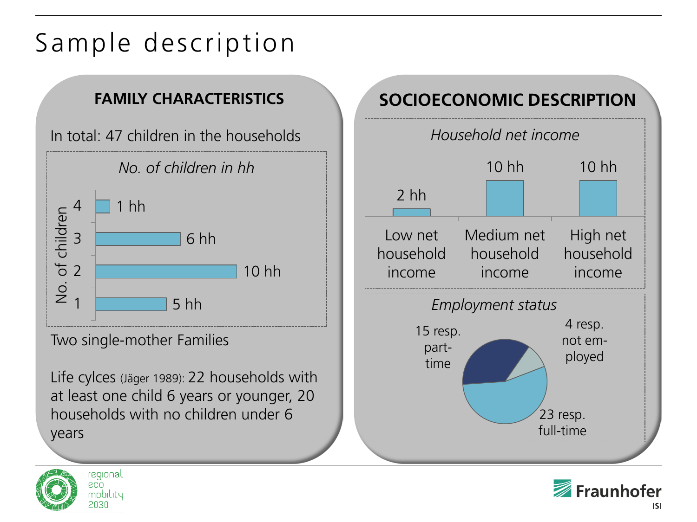## Sample description

#### **FAMILY CHARACTERISTICS**



Two single-mother Families

Life cylces (Jäger 1989): 22 households with at least one child 6 years or younger, 20 households with no children under 6 years

#### **SOCIOECONOMIC DESCRIPTION**





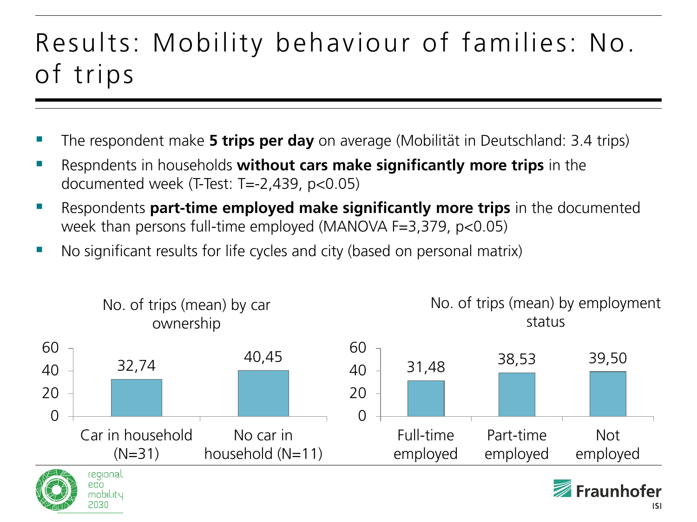### Results: Mobility behaviour of families: No. of trips

- The respondent make **5 trips per day** on average (Mobilität in Deutschland: 3.4 trips)
- Respndents in households **without cars make significantly more trips** in the documented week (T-Test: T=-2,439, p<0.05)
- Respondents **part-time employed make significantly more trips** in the documented week than persons full-time employed (MANOVA F=3,379, p<0.05)
- No significant results for life cycles and city (based on personal matrix)

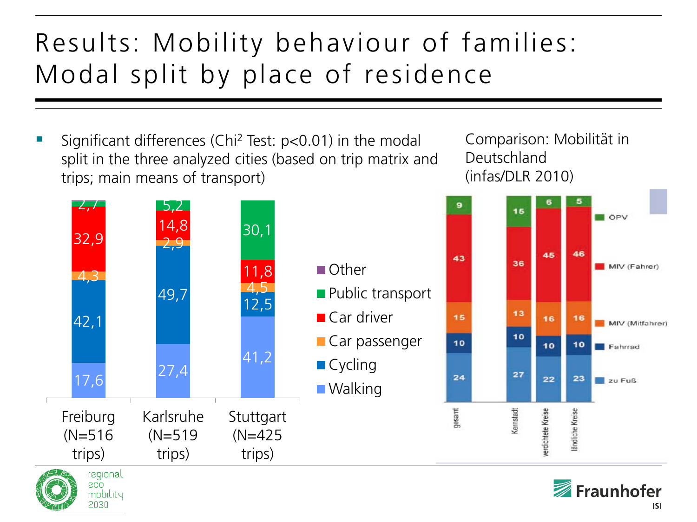## Results: Mobility behaviour of families: Modal split by place of residence

 Significant differences (Chi2 Test: p<0.01) in the modal split in the three analyzed cities (based on trip matrix and trips; main means of transport)

> mobility 2030

Comparison: Mobilität in Deutschland (infas/DLR 2010)

45

16

10

22

rerdichtete Kreise





OPV

MIV (Fahrer)

MIV (Mitfahrer)

Fahrrad

zu Fuß

46

16

10

23

ändliche Kreise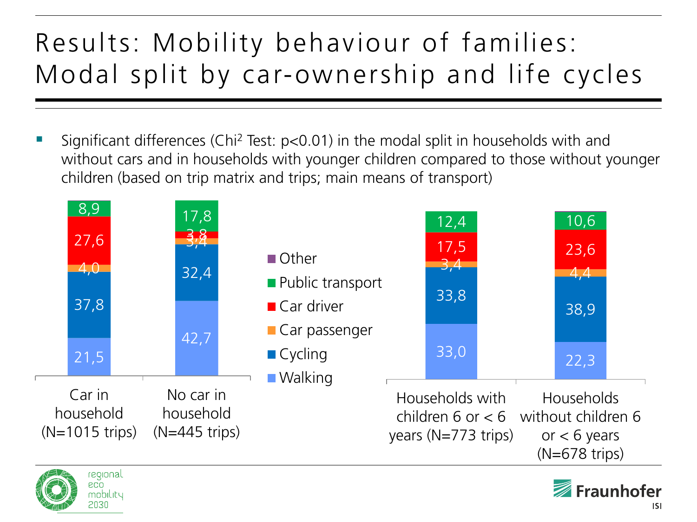# Results: Mobility behaviour of families: Modal split by car-ownership and life cycles

 Significant differences (Chi2 Test: p<0.01) in the modal split in households with and without cars and in households with younger children compared to those without younger children (based on trip matrix and trips; main means of transport)





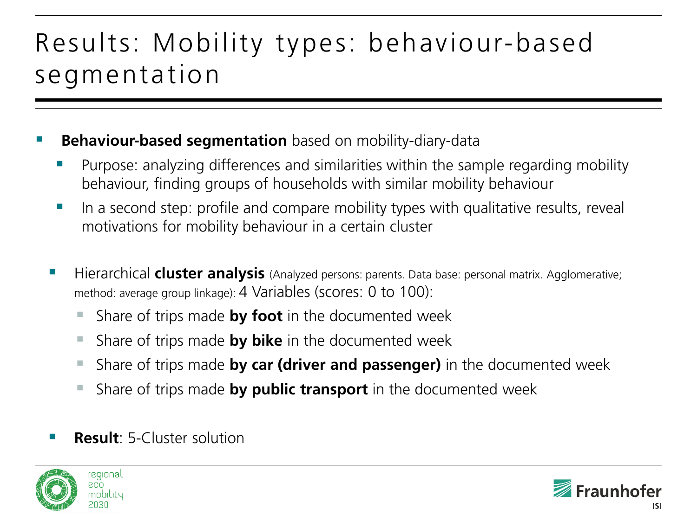### Results: Mobility types: behaviour-based segmentation

#### **Behaviour-based segmentation** based on mobility-diary-data

- Purpose: analyzing differences and similarities within the sample regarding mobility behaviour, finding groups of households with similar mobility behaviour
- $\blacksquare$  In a second step: profile and compare mobility types with qualitative results, reveal motivations for mobility behaviour in a certain cluster
- Hierarchical **cluster analysis** (Analyzed persons: parents. Data base: personal matrix. Agglomerative; method: average group linkage): 4 Variables (scores: 0 to 100):
	- Share of trips made **by foot** in the documented week
	- Share of trips made **by bike** in the documented week
	- Share of trips made **by car (driver and passenger)** in the documented week
	- Share of trips made **by public transport** in the documented week
- **Result**: 5-Cluster solution



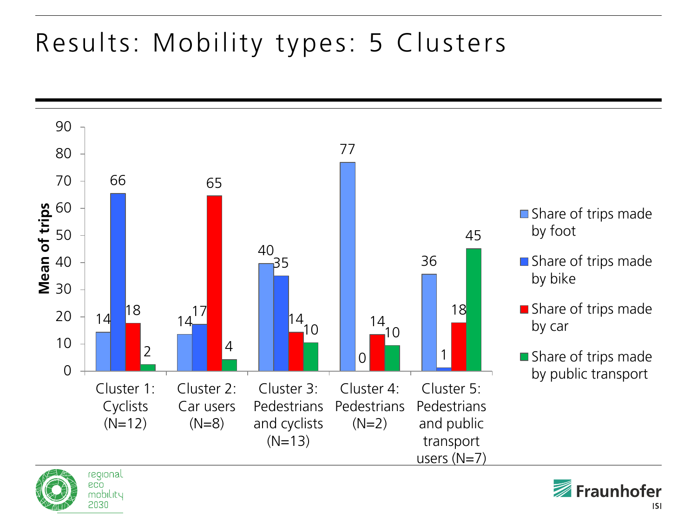## Results: Mobility types: 5 Clusters





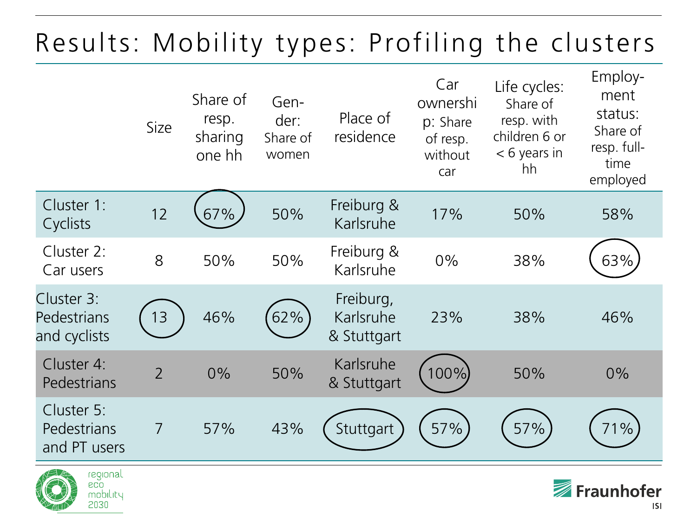## Results: Mobility types: Profiling the clusters

|                                           | Size           | Share of<br>resp.<br>sharing<br>one hh | Gen-<br>der:<br>Share of<br>women | Place of<br>residence                 | Car<br>ownershi<br>p: Share<br>of resp.<br>without<br>car | Life cycles:<br>Share of<br>resp. with<br>children 6 or<br>$< 6$ years in<br>hh | Employ-<br>ment<br>status:<br>Share of<br>resp. full-<br>time<br>employed |
|-------------------------------------------|----------------|----------------------------------------|-----------------------------------|---------------------------------------|-----------------------------------------------------------|---------------------------------------------------------------------------------|---------------------------------------------------------------------------|
| Cluster 1:<br>Cyclists                    | 12             | 67%                                    | 50%                               | Freiburg &<br>Karlsruhe               | 17%                                                       | 50%                                                                             | 58%                                                                       |
| Cluster 2:<br>Car users                   | 8              | 50%                                    | 50%                               | Freiburg &<br>Karlsruhe               | 0%                                                        | 38%                                                                             | 63%                                                                       |
| Cluster 3:<br>Pedestrians<br>and cyclists | 13             | 46%                                    | 62%                               | Freiburg,<br>Karlsruhe<br>& Stuttgart | 23%                                                       | 38%                                                                             | 46%                                                                       |
| Cluster 4:<br>Pedestrians                 | $\overline{2}$ | 0%                                     | 50%                               | Karlsruhe<br>& Stuttgart              | 100%)                                                     | 50%                                                                             | $0\%$                                                                     |
| Cluster 5:<br>Pedestrians<br>and PT users | $\overline{7}$ | 57%                                    | 43%                               | Stuttgart                             | 57%                                                       | 57%                                                                             | 71%                                                                       |

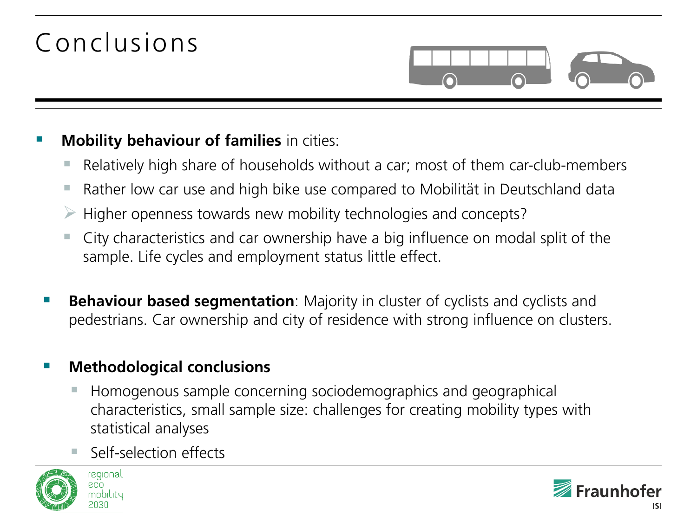## Conclusions

#### **Mobility behaviour of families** in cities:

- Relatively high share of households without a car; most of them car-club-members
- Rather low car use and high bike use compared to Mobilität in Deutschland data
- Higher openness towards new mobility technologies and concepts?
- City characteristics and car ownership have a big influence on modal split of the sample. Life cycles and employment status little effect.
- **Behaviour based segmentation**: Majority in cluster of cyclists and cyclists and pedestrians. Car ownership and city of residence with strong influence on clusters.

#### **Methodological conclusions**

- Homogenous sample concerning sociodemographics and geographical characteristics, small sample size: challenges for creating mobility types with statistical analyses
- Self-selection effects





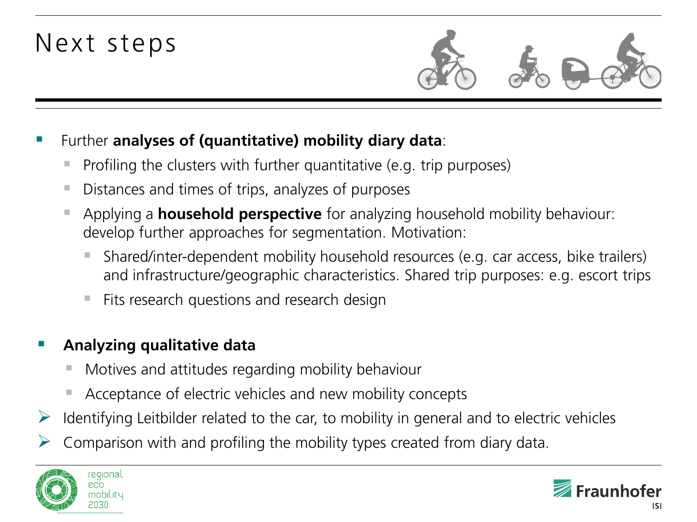### Next steps



- Further **analyses of (quantitative) mobility diary data**:
	- Profiling the clusters with further quantitative (e.g. trip purposes)
	- Distances and times of trips, analyzes of purposes
	- Applying a **household perspective** for analyzing household mobility behaviour: develop further approaches for segmentation. Motivation:
		- Shared/inter-dependent mobility household resources (e.g. car access, bike trailers) and infrastructure/geographic characteristics. Shared trip purposes: e.g. escort trips
		- Fits research questions and research design

#### **Analyzing qualitative data**

- Motives and attitudes regarding mobility behaviour
- Acceptance of electric vehicles and new mobility concepts
- $\triangleright$  Identifying Leitbilder related to the car, to mobility in general and to electric vehicles
- Comparison with and profiling the mobility types created from diary data.